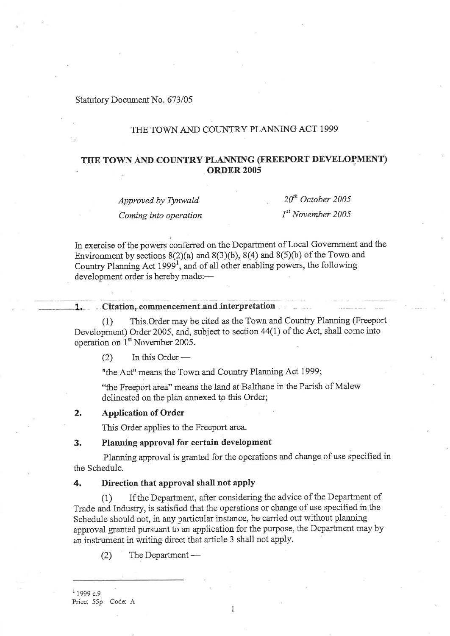#### Statutory Document No. 673/05

## THE TOWN AND COUNTRY PLANNING ACT 1999

# THE TOWN AND COUNTRY PLANNING (FREEPORT DEVELOPMENT) ORDER 2OO5

## Approved by Tynwald

Coming into operation

 $20^{th}$  October 2005 I't November 2005

In exercise of the powers conferred on the Department of Local Government and the Environment by sections  $8(2)(a)$  and  $8(3)(b)$ ,  $8(4)$  and  $8(5)(b)$  of the Town and Country Planning Act  $1999<sup>1</sup>$ , and of all other enabling powers, the following development order is hereby made:-

I Citation, commencement and interpretation

(1) This,Order may be cited as the Town and Counfiy Planning (Freeport Development) Order 2005, and, subject to section 44(1) of the Act, shall come into operation on  $1<sup>st</sup>$  November 2005.

 $(2)$  In this Order — -

"the Act" means the Town and Country Planning Act 1999;

"the Freeport area" means the land at Balthane in the Parish of Malew delineated on the plan annexed to this Order;

## 2. Application of Order

This Order applies to the Freeport area.

### 3. Planning approval for certain development

Planning approval is granted for the operations and change of use specified in the Schedule.

#### 4. Direction that approval shall not apply

(1) If the Department, after considering the advice of the Department of Trade and Industry, is satisfied that the operations or change of use specified in the Schedule should not, in any particular instance, be carried out without planning approval granted pursuant to an application for the purpose, the Department may by an instrument in writing direct that article 3 shall not apply.

(2) The Department –

 $11999c.9$ Price: 55p Code: A

1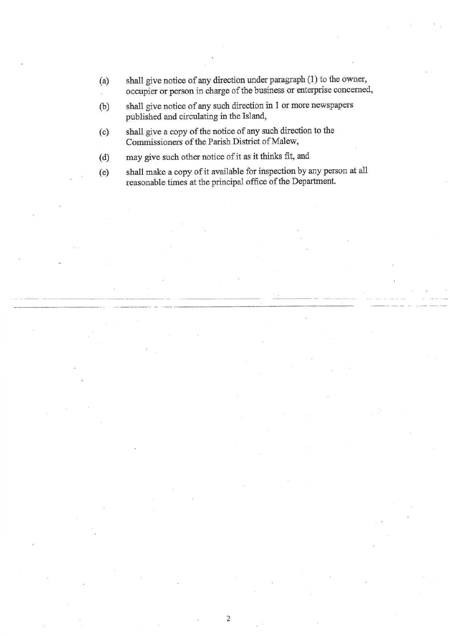- shall give notice of any direction under paragraph (1) to the owner,  $(a)$ occupier or person in charge of the business or enterprise concerned,
- shall give notice of any such direction in 1 or more newspapers  $(b)$ published and circulating in the Island,
- shall give a copy of the notice of any such direction to the  $(c)$ Commissioners of the Parish District of Malew,
- may give such other notice of it as it thinks fit, and  $(d)$

shall make a copy of it available for inspection by any person at all  $(e)$ reasonable times at the principal office of the Department.

 $\mathbf 2$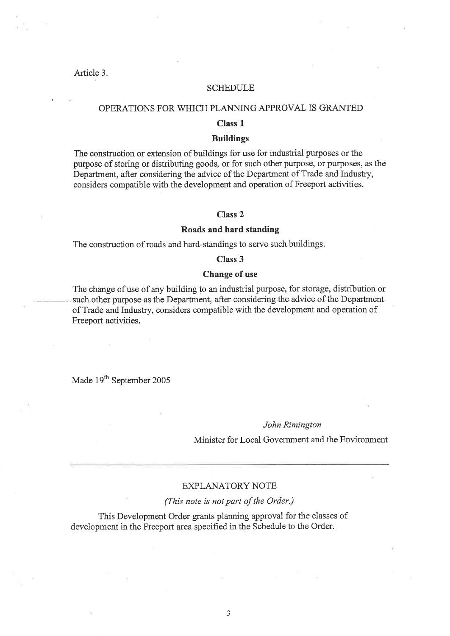Article 3.

## **SCHEDULE**

## OPERATIONS FOR WHICH PLANNING APPROVAL IS GRANTED

### Class 1

### Buildings

The construction or extension of buildings for use for industrial purposes or the purpose of storing or distributing goods, or for such other purpose, or purposes, as the Department, after considering the advice of the Department of Trade and Industry, considers compatible with the development and operation of Freeport activities.

#### Class 2

### Roads and hard standing

The construction of roads and hard-standings to serye such buildings.

## Class 3

### Change of use

The change of use of any building to an industrial purpose, for storage, distribution or such other purpose as the Department, after considering the advice of the Department of Trade and Industry, considers compatible with the development and operation of Freeport activities.

Made 19<sup>th</sup> September 2005

### John Rimíngton

Minister for Local Government and the Environment

### EXPLANATORY NOTE

### (Thís note is not part of the Order.)

This Development Order grants planning approval for the classes of development in the Freeport area specified in the Schedule to the Order.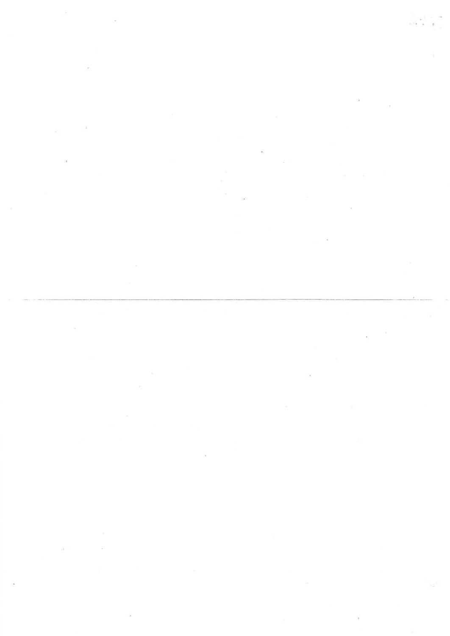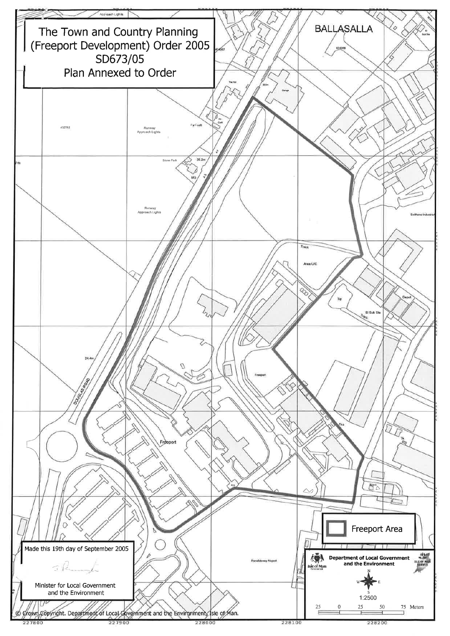